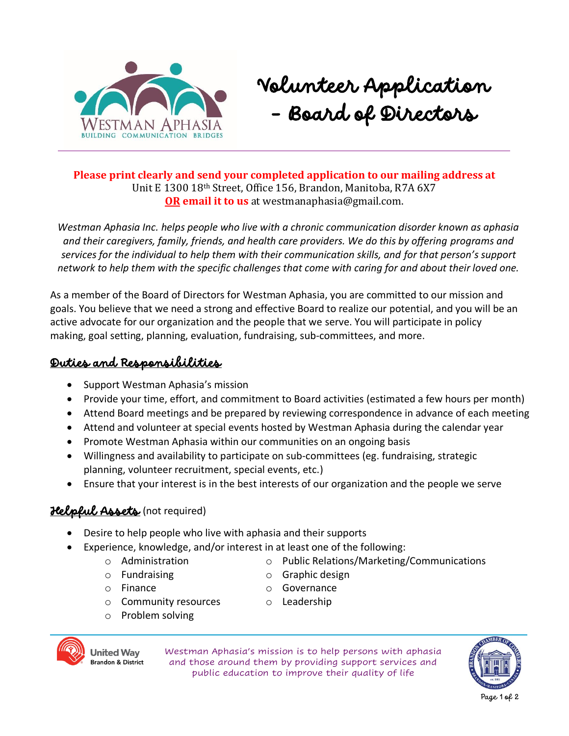

# Volunteer Application - Board of Directors

#### **Please print clearly and send your completed application to our mailing address at** Unit E 1300 18th Street, Office 156, Brandon, Manitoba, R7A 6X7 **OR email it to us** at westmanaphasia@gmail.com.

*Westman Aphasia Inc. helps people who live with a chronic communication disorder known as aphasia and their caregivers, family, friends, and health care providers. We do this by offering programs and services for the individual to help them with their communication skills, and for that person's support network to help them with the specific challenges that come with caring for and about their loved one.*

As a member of the Board of Directors for Westman Aphasia, you are committed to our mission and goals. You believe that we need a strong and effective Board to realize our potential, and you will be an active advocate for our organization and the people that we serve. You will participate in policy making, goal setting, planning, evaluation, fundraising, sub-committees, and more.

### Duties and Responsibilities

- Support Westman Aphasia's mission
- Provide your time, effort, and commitment to Board activities (estimated a few hours per month)
- Attend Board meetings and be prepared by reviewing correspondence in advance of each meeting
- Attend and volunteer at special events hosted by Westman Aphasia during the calendar year
- Promote Westman Aphasia within our communities on an ongoing basis
- Willingness and availability to participate on sub-committees (eg. fundraising, strategic planning, volunteer recruitment, special events, etc.)
- Ensure that your interest is in the best interests of our organization and the people we serve

## Helpful Assets (not required)

- Desire to help people who live with aphasia and their supports
- Experience, knowledge, and/or interest in at least one of the following:
	- o Administration o Public Relations/Marketing/Communications
	- o Fundraising

o Graphic design

o Finance

- o Governance o Leadership
- o Community resources
- o Problem solving



**United Wav Brandon & District** 

Westman Aphasia's mission is to help persons with aphasia and those around them by providing support services and public education to improve their quality of life